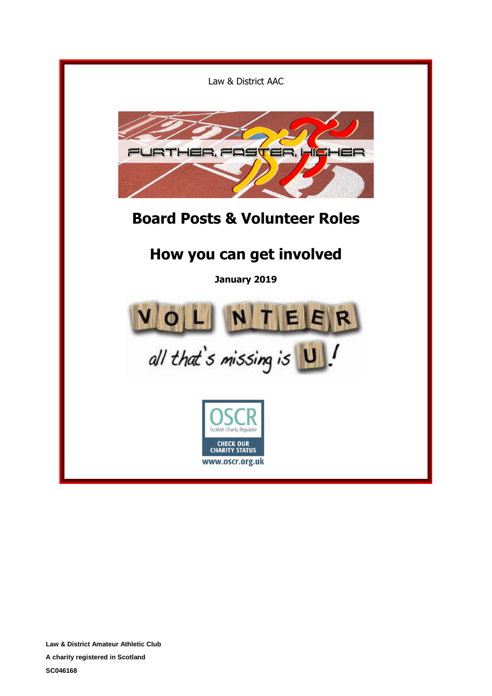

**Law & District Amateur Athletic Club**

**A charity registered in Scotland**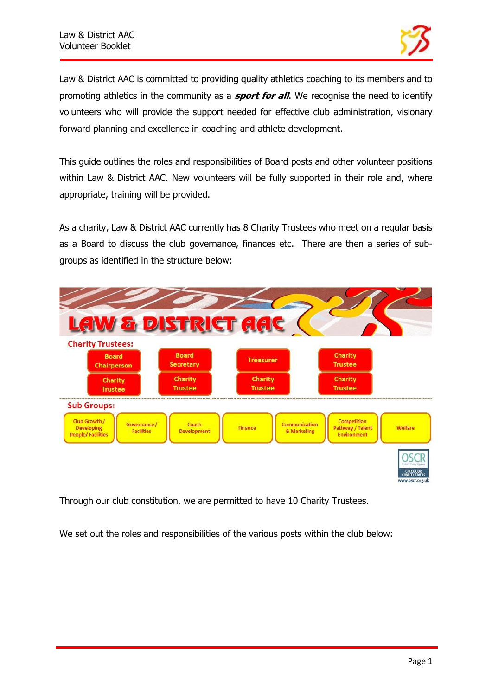

Law & District AAC is committed to providing quality athletics coaching to its members and to promoting athletics in the community as a **sport for all**. We recognise the need to identify volunteers who will provide the support needed for effective club administration, visionary forward planning and excellence in coaching and athlete development.

This guide outlines the roles and responsibilities of Board posts and other volunteer positions within Law & District AAC. New volunteers will be fully supported in their role and, where appropriate, training will be provided.

As a charity, Law & District AAC currently has 8 Charity Trustees who meet on a regular basis as a Board to discuss the club governance, finances etc. There are then a series of subgroups as identified in the structure below:



Through our club constitution, we are permitted to have 10 Charity Trustees.

We set out the roles and responsibilities of the various posts within the club below: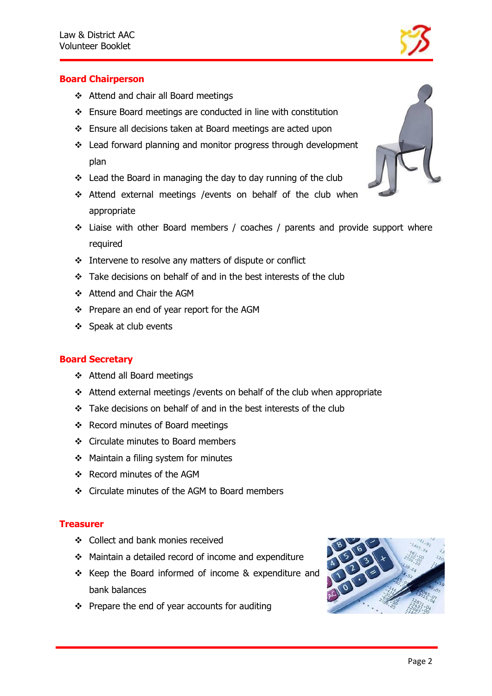

# **Board Chairperson**

- ❖ Attend and chair all Board meetings
- ❖ Ensure Board meetings are conducted in line with constitution
- ❖ Ensure all decisions taken at Board meetings are acted upon
- ❖ Lead forward planning and monitor progress through development plan
- ❖ Lead the Board in managing the day to day running of the club
- ❖ Attend external meetings /events on behalf of the club when appropriate
- ❖ Liaise with other Board members / coaches / parents and provide support where required
- ❖ Intervene to resolve any matters of dispute or conflict
- ❖ Take decisions on behalf of and in the best interests of the club
- ❖ Attend and Chair the AGM
- ❖ Prepare an end of year report for the AGM
- ❖ Speak at club events

# **Board Secretary**

- ❖ Attend all Board meetings
- ❖ Attend external meetings /events on behalf of the club when appropriate
- ❖ Take decisions on behalf of and in the best interests of the club
- ❖ Record minutes of Board meetings
- ❖ Circulate minutes to Board members
- ❖ Maintain a filing system for minutes
- ❖ Record minutes of the AGM
- ❖ Circulate minutes of the AGM to Board members

#### **Treasurer**

- ❖ Collect and bank monies received
- ❖ Maintain a detailed record of income and expenditure
- ❖ Keep the Board informed of income & expenditure and bank balances
- ❖ Prepare the end of year accounts for auditing



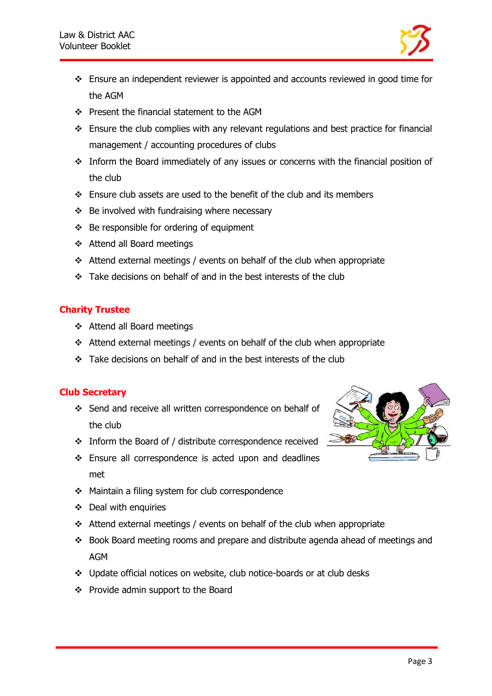

- ❖ Ensure an independent reviewer is appointed and accounts reviewed in good time for the AGM
- ❖ Present the financial statement to the AGM
- ❖ Ensure the club complies with any relevant regulations and best practice for financial management / accounting procedures of clubs
- ❖ Inform the Board immediately of any issues or concerns with the financial position of the club
- ❖ Ensure club assets are used to the benefit of the club and its members
- ❖ Be involved with fundraising where necessary
- ❖ Be responsible for ordering of equipment
- ❖ Attend all Board meetings
- ❖ Attend external meetings / events on behalf of the club when appropriate
- ❖ Take decisions on behalf of and in the best interests of the club

# **Charity Trustee**

- ❖ Attend all Board meetings
- ❖ Attend external meetings / events on behalf of the club when appropriate
- ❖ Take decisions on behalf of and in the best interests of the club

# **Club Secretary**

- ❖ Send and receive all written correspondence on behalf of the club
- ❖ Inform the Board of / distribute correspondence received
- ❖ Ensure all correspondence is acted upon and deadlines met
- ❖ Maintain a filing system for club correspondence
- ❖ Deal with enquiries
- ❖ Attend external meetings / events on behalf of the club when appropriate
- ❖ Book Board meeting rooms and prepare and distribute agenda ahead of meetings and AGM
- ❖ Update official notices on website, club notice-boards or at club desks
- ❖ Provide admin support to the Board

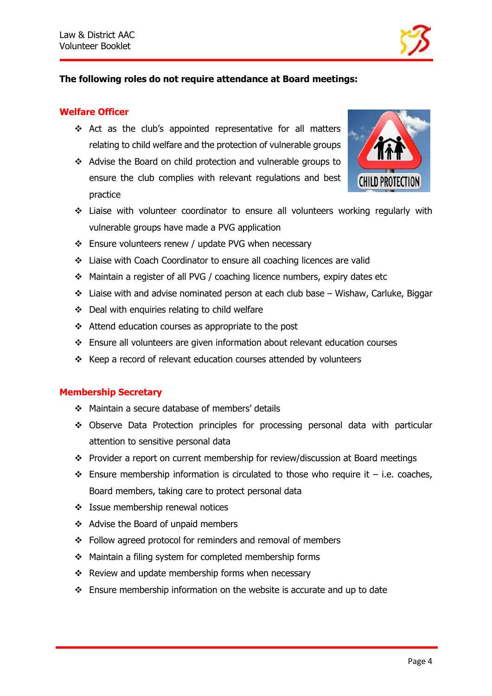

## **The following roles do not require attendance at Board meetings:**

#### **Welfare Officer**

- ❖ Act as the club's appointed representative for all matters relating to child welfare and the protection of vulnerable groups
- ❖ Advise the Board on child protection and vulnerable groups to ensure the club complies with relevant regulations and best practice



- ❖ Liaise with volunteer coordinator to ensure all volunteers working regularly with vulnerable groups have made a PVG application
- ❖ Ensure volunteers renew / update PVG when necessary
- ❖ Liaise with Coach Coordinator to ensure all coaching licences are valid
- ❖ Maintain a register of all PVG / coaching licence numbers, expiry dates etc
- ❖ Liaise with and advise nominated person at each club base Wishaw, Carluke, Biggar
- ❖ Deal with enquiries relating to child welfare
- ❖ Attend education courses as appropriate to the post
- ❖ Ensure all volunteers are given information about relevant education courses
- ❖ Keep a record of relevant education courses attended by volunteers

#### **Membership Secretary**

- ❖ Maintain a secure database of members' details
- ❖ Observe Data Protection principles for processing personal data with particular attention to sensitive personal data
- ❖ Provider a report on current membership for review/discussion at Board meetings
- $\div$  Ensure membership information is circulated to those who require it i.e. coaches, Board members, taking care to protect personal data
- ❖ Issue membership renewal notices
- ❖ Advise the Board of unpaid members
- ❖ Follow agreed protocol for reminders and removal of members
- ❖ Maintain a filing system for completed membership forms
- ❖ Review and update membership forms when necessary
- ❖ Ensure membership information on the website is accurate and up to date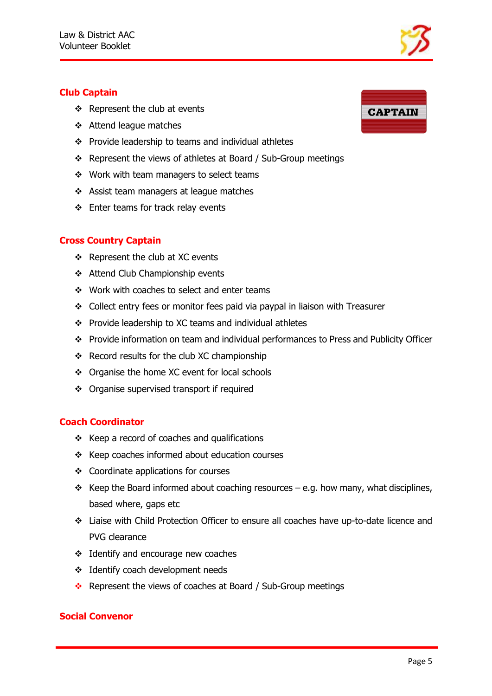# **Club Captain**

- ❖ Represent the club at events
- ❖ Attend league matches
- ❖ Provide leadership to teams and individual athletes
- ❖ Represent the views of athletes at Board / Sub-Group meetings
- ❖ Work with team managers to select teams
- ❖ Assist team managers at league matches
- ❖ Enter teams for track relay events

# **Cross Country Captain**

- ❖ Represent the club at XC events
- ❖ Attend Club Championship events
- ❖ Work with coaches to select and enter teams
- ❖ Collect entry fees or monitor fees paid via paypal in liaison with Treasurer
- ❖ Provide leadership to XC teams and individual athletes
- ❖ Provide information on team and individual performances to Press and Publicity Officer
- ❖ Record results for the club XC championship
- ❖ Organise the home XC event for local schools
- ❖ Organise supervised transport if required

#### **Coach Coordinator**

- ❖ Keep a record of coaches and qualifications
- ❖ Keep coaches informed about education courses
- ❖ Coordinate applications for courses
- ❖ Keep the Board informed about coaching resources e.g. how many, what disciplines, based where, gaps etc
- ❖ Liaise with Child Protection Officer to ensure all coaches have up-to-date licence and PVG clearance
- ❖ Identify and encourage new coaches
- ❖ Identify coach development needs
- ❖ Represent the views of coaches at Board / Sub-Group meetings

#### **Social Convenor**



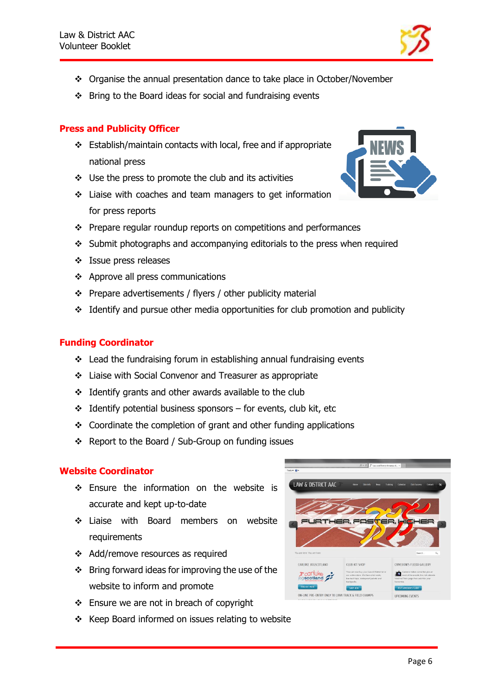

- ❖ Organise the annual presentation dance to take place in October/November
- ❖ Bring to the Board ideas for social and fundraising events

# **Press and Publicity Officer**

- ❖ Establish/maintain contacts with local, free and if appropriate national press
- ❖ Use the press to promote the club and its activities
- ❖ Liaise with coaches and team managers to get information for press reports
- ❖ Prepare regular roundup reports on competitions and performances
- ❖ Submit photographs and accompanying editorials to the press when required
- ❖ Issue press releases
- ❖ Approve all press communications
- ❖ Prepare advertisements / flyers / other publicity material
- ❖ Identify and pursue other media opportunities for club promotion and publicity

# **Funding Coordinator**

- ❖ Lead the fundraising forum in establishing annual fundraising events
- ❖ Liaise with Social Convenor and Treasurer as appropriate
- ❖ Identify grants and other awards available to the club
- $\div$  Identify potential business sponsors for events, club kit, etc
- ❖ Coordinate the completion of grant and other funding applications
- ❖ Report to the Board / Sub-Group on funding issues

# **Website Coordinator**

- ❖ Ensure the information on the website is accurate and kept up-to-date
- ❖ Liaise with Board members on website requirements
- ❖ Add/remove resources as required
- ❖ Bring forward ideas for improving the use of the website to inform and promote
- ❖ Ensure we are not in breach of copyright
- ❖ Keep Board informed on issues relating to website



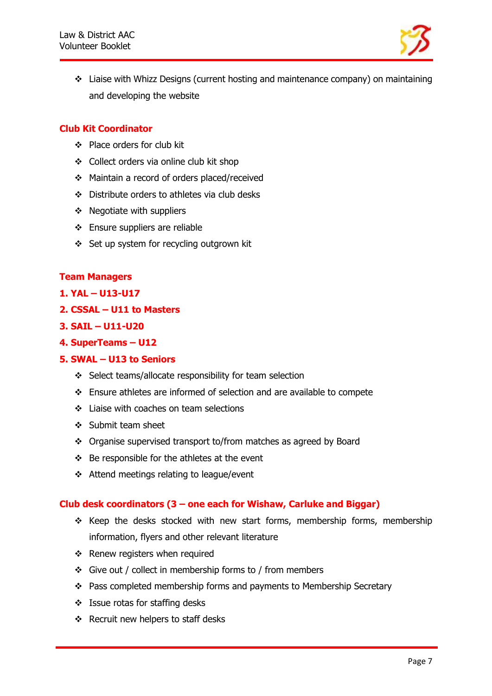

❖ Liaise with Whizz Designs (current hosting and maintenance company) on maintaining and developing the website

## **Club Kit Coordinator**

- ❖ Place orders for club kit
- ❖ Collect orders via online club kit shop
- ❖ Maintain a record of orders placed/received
- ❖ Distribute orders to athletes via club desks
- ❖ Negotiate with suppliers
- ❖ Ensure suppliers are reliable
- ❖ Set up system for recycling outgrown kit

#### **Team Managers**

#### **1. YAL – U13-U17**

**2. CSSAL – U11 to Masters** 

#### **3. SAIL – U11-U20**

**4. SuperTeams – U12** 

#### **5. SWAL – U13 to Seniors**

- ❖ Select teams/allocate responsibility for team selection
- ❖ Ensure athletes are informed of selection and are available to compete
- ❖ Liaise with coaches on team selections
- ❖ Submit team sheet
- ❖ Organise supervised transport to/from matches as agreed by Board
- ❖ Be responsible for the athletes at the event
- ❖ Attend meetings relating to league/event

#### **Club desk coordinators (3 – one each for Wishaw, Carluke and Biggar)**

- ❖ Keep the desks stocked with new start forms, membership forms, membership information, flyers and other relevant literature
- ❖ Renew registers when required
- ❖ Give out / collect in membership forms to / from members
- ❖ Pass completed membership forms and payments to Membership Secretary
- ❖ Issue rotas for staffing desks
- ❖ Recruit new helpers to staff desks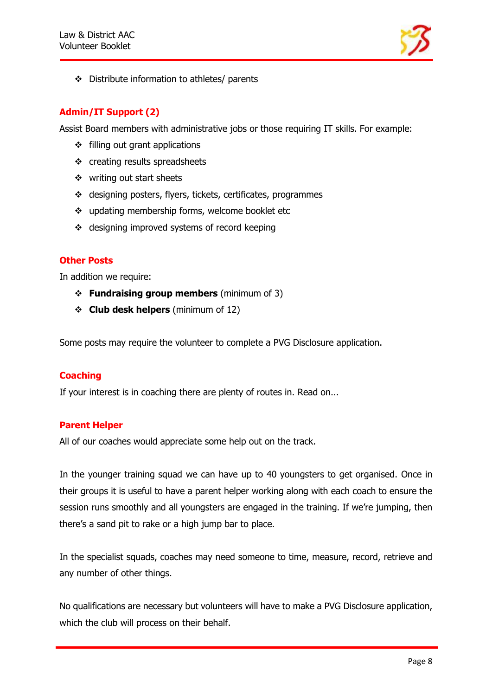

❖ Distribute information to athletes/ parents

# **Admin/IT Support (2)**

Assist Board members with administrative jobs or those requiring IT skills. For example:

- ❖ filling out grant applications
- ❖ creating results spreadsheets
- ❖ writing out start sheets
- ❖ designing posters, flyers, tickets, certificates, programmes
- ❖ updating membership forms, welcome booklet etc
- ❖ designing improved systems of record keeping

#### **Other Posts**

In addition we require:

- ❖ **Fundraising group members** (minimum of 3)
- ❖ **Club desk helpers** (minimum of 12)

Some posts may require the volunteer to complete a PVG Disclosure application.

# **Coaching**

If your interest is in coaching there are plenty of routes in. Read on...

# **Parent Helper**

All of our coaches would appreciate some help out on the track.

In the younger training squad we can have up to 40 youngsters to get organised. Once in their groups it is useful to have a parent helper working along with each coach to ensure the session runs smoothly and all youngsters are engaged in the training. If we're jumping, then there's a sand pit to rake or a high jump bar to place.

In the specialist squads, coaches may need someone to time, measure, record, retrieve and any number of other things.

No qualifications are necessary but volunteers will have to make a PVG Disclosure application, which the club will process on their behalf.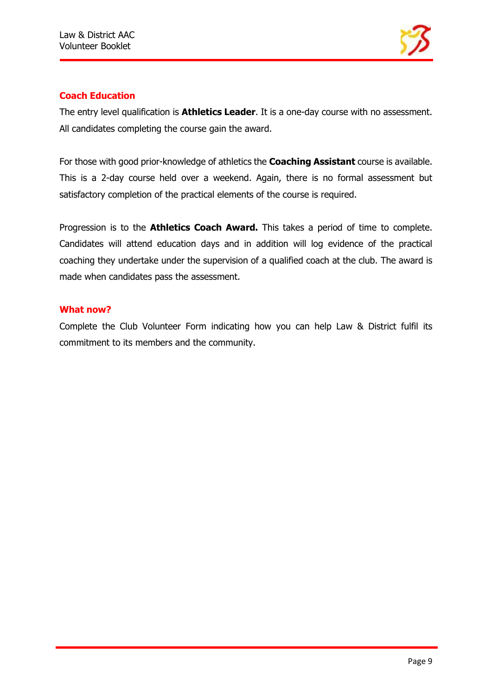

# **Coach Education**

The entry level qualification is **Athletics Leader**. It is a one-day course with no assessment. All candidates completing the course gain the award.

For those with good prior-knowledge of athletics the **Coaching Assistant** course is available. This is a 2-day course held over a weekend. Again, there is no formal assessment but satisfactory completion of the practical elements of the course is required.

Progression is to the **Athletics Coach Award.** This takes a period of time to complete. Candidates will attend education days and in addition will log evidence of the practical coaching they undertake under the supervision of a qualified coach at the club. The award is made when candidates pass the assessment.

#### **What now?**

Complete the Club Volunteer Form indicating how you can help Law & District fulfil its commitment to its members and the community.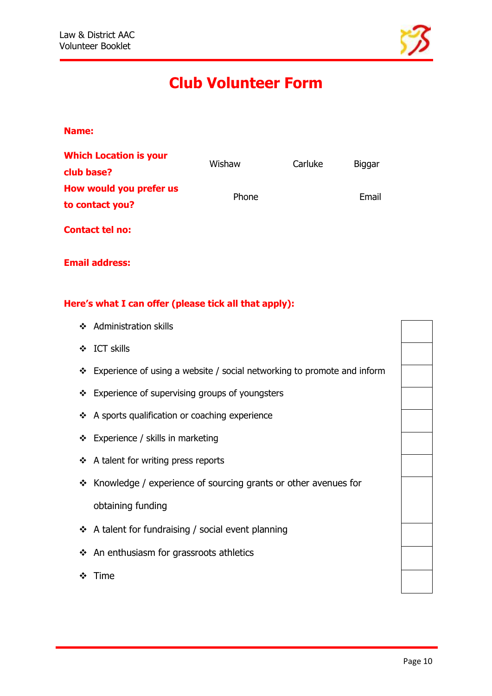

# **Club Volunteer Form**

#### **Name:**

| <b>Which Location is your</b> | Wishaw | Carluke |               |
|-------------------------------|--------|---------|---------------|
| club base?                    |        |         | <b>Biggar</b> |
| How would you prefer us       | Phone  |         | Email         |
| to contact you?               |        |         |               |
| <b>Contact tel no:</b>        |        |         |               |

**Email address:**

# **Here's what I can offer (please tick all that apply):**

- ❖ Administration skills
- ❖ ICT skills
- ❖ Experience of using a website / social networking to promote and inform
- ❖ Experience of supervising groups of youngsters
- ❖ A sports qualification or coaching experience
- ❖ Experience / skills in marketing
- ❖ A talent for writing press reports
- ❖ Knowledge / experience of sourcing grants or other avenues for obtaining funding
- ❖ A talent for fundraising / social event planning
- ❖ An enthusiasm for grassroots athletics
- ❖ Time